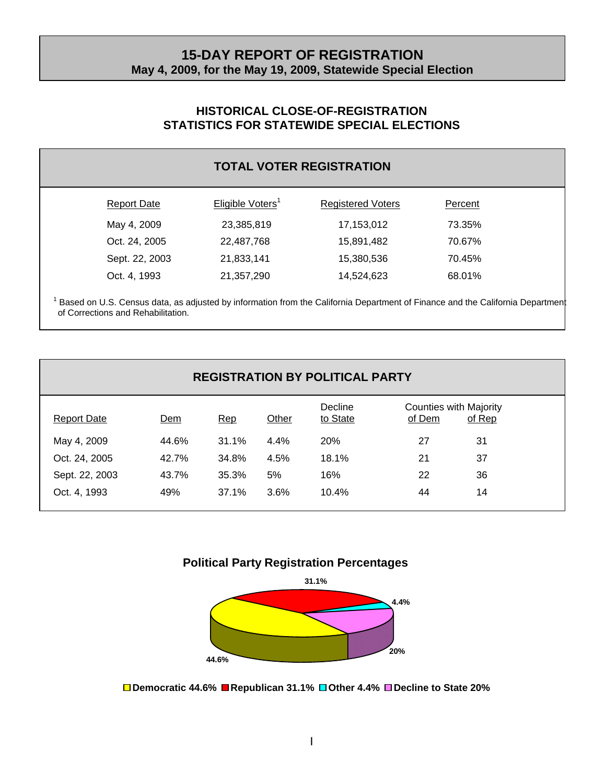## **15-DAY REPORT OF REGISTRATION May 4, 2009, for the May 19, 2009, Statewide Special Election**

#### **HISTORICAL CLOSE-OF-REGISTRATION STATISTICS FOR STATEWIDE SPECIAL ELECTIONS**

|                    |                              | <b>TOTAL VOTER REGISTRATION</b> |         |  |
|--------------------|------------------------------|---------------------------------|---------|--|
| <b>Report Date</b> | Eligible Voters <sup>1</sup> | <b>Registered Voters</b>        | Percent |  |
| May 4, 2009        | 23,385,819                   | 17,153,012                      | 73.35%  |  |
| Oct. 24, 2005      | 22,487,768                   | 15,891,482                      | 70.67%  |  |
| Sept. 22, 2003     | 21,833,141                   | 15,380,536                      | 70.45%  |  |
| Oct. 4, 1993       | 21,357,290                   | 14,524,623                      | 68.01%  |  |

<sup>1</sup> Based on U.S. Census data, as adjusted by information from the California Department of Finance and the California Department of Corrections and Rehabilitation.

| <b>REGISTRATION BY POLITICAL PARTY</b> |       |       |       |                     |                                         |        |
|----------------------------------------|-------|-------|-------|---------------------|-----------------------------------------|--------|
| <b>Report Date</b>                     | Dem   | Rep   | Other | Decline<br>to State | <b>Counties with Majority</b><br>of Dem | of Rep |
| May 4, 2009                            | 44.6% | 31.1% | 4.4%  | <b>20%</b>          | 27                                      | 31     |
| Oct. 24, 2005                          | 42.7% | 34.8% | 4.5%  | 18.1%               | 21                                      | 37     |
| Sept. 22, 2003                         | 43.7% | 35.3% | 5%    | 16%                 | 22                                      | 36     |
| Oct. 4, 1993                           | 49%   | 37.1% | 3.6%  | 10.4%               | 44                                      | 14     |





**Democratic 44.6% Republican 31.1% Other 4.4% Decline to State 20%**